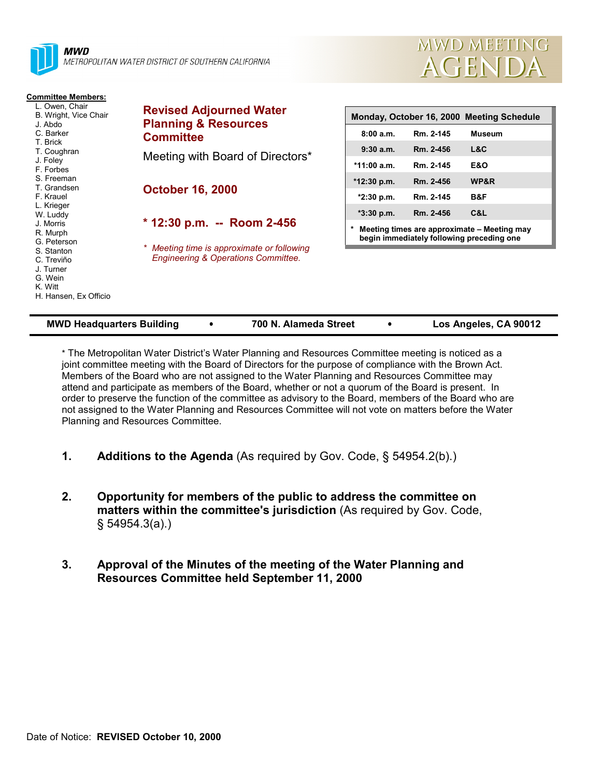

METROPOLITAN WATER DISTRICT OF SOUTHERN CALIFORNIA

**Committee**

**October 16, 2000**

**Revised Adjourned Water Planning & Resources**

Meeting with Board of Directors\*

**\* 12:30 p.m. -- Room 2-456**

*\* Meeting time is approximate or following Engineering & Operations Committee.*

#### **Committee Members:**

L. Owen, Chair B. Wright, Vice Chair J. Abdo C. Barker T. Brick T. Coughran J. Foley F. Forbes S. Freeman T. Grandsen F. Krauel L. Krieger W. Luddy J. Morris R. Murph G. Peterson S. Stanton C. Treviño J. Turner G. Wein K. Witt

H. Hansen, Ex Officio

|               |           | Monday, October 16, 2000 Meeting Schedule                                                |
|---------------|-----------|------------------------------------------------------------------------------------------|
| 8:00a.m.      | Rm. 2-145 | Museum                                                                                   |
| $9:30a$ m.    | Rm. 2-456 | L&C                                                                                      |
| $*11:00 a.m.$ | Rm. 2-145 | E&O                                                                                      |
| $*12:30 p.m.$ | Rm. 2-456 | <b>WP&amp;R</b>                                                                          |
| *2:30 p.m.    | Rm. 2-145 | B&F                                                                                      |
| $*3:30$ p.m.  | Rm. 2-456 | C&L                                                                                      |
| $\ast$        |           | Meeting times are approximate - Meeting may<br>begin immediately following preceding one |

**MWD MEETING** 

AGENDA

| <b>MWD Headquarters Building</b> |  | 700 N. Alameda Street |  | Los Angeles, CA 90012 |
|----------------------------------|--|-----------------------|--|-----------------------|
|----------------------------------|--|-----------------------|--|-----------------------|

\* The Metropolitan Water District's Water Planning and Resources Committee meeting is noticed as a joint committee meeting with the Board of Directors for the purpose of compliance with the Brown Act. Members of the Board who are not assigned to the Water Planning and Resources Committee may attend and participate as members of the Board, whether or not a quorum of the Board is present. In order to preserve the function of the committee as advisory to the Board, members of the Board who are not assigned to the Water Planning and Resources Committee will not vote on matters before the Water Planning and Resources Committee.

- **1. Additions to the Agenda** (As required by Gov. Code, § 54954.2(b).)
- **2. Opportunity for members of the public to address the committee on matters within the committee's jurisdiction** (As required by Gov. Code, § 54954.3(a).)
- **3. Approval of the Minutes of the meeting of the Water Planning and Resources Committee held September 11, 2000**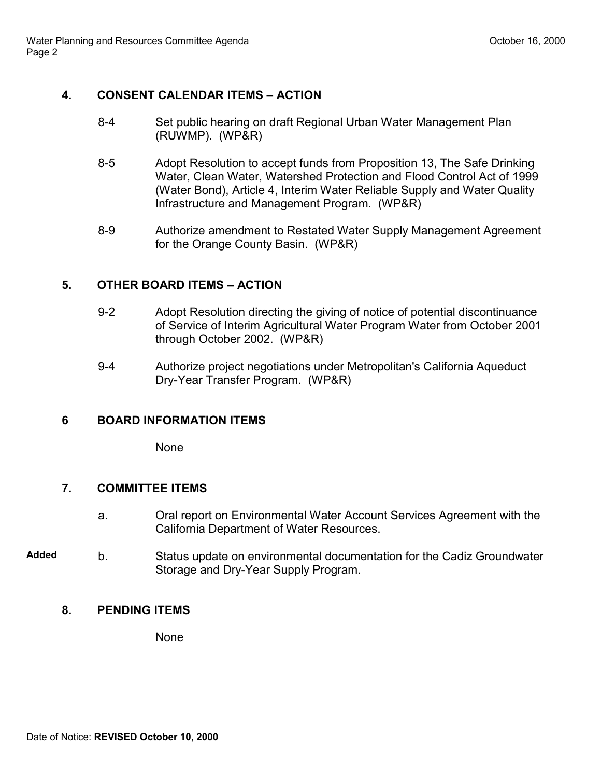# **4. CONSENT CALENDAR ITEMS – ACTION**

- 8-4 Set public hearing on draft Regional Urban Water Management Plan (RUWMP). (WP&R)
- 8-5 Adopt Resolution to accept funds from Proposition 13, The Safe Drinking Water, Clean Water, Watershed Protection and Flood Control Act of 1999 (Water Bond), Article 4, Interim Water Reliable Supply and Water Quality Infrastructure and Management Program. (WP&R)
- 8-9 Authorize amendment to Restated Water Supply Management Agreement for the Orange County Basin. (WP&R)

# **5. OTHER BOARD ITEMS – ACTION**

- 9-2 Adopt Resolution directing the giving of notice of potential discontinuance of Service of Interim Agricultural Water Program Water from October 2001 through October 2002. (WP&R)
- 9-4 Authorize project negotiations under Metropolitan's California Aqueduct Dry-Year Transfer Program. (WP&R)

# **6 BOARD INFORMATION ITEMS**

None

# **7. COMMITTEE ITEMS**

- a. Oral report on Environmental Water Account Services Agreement with the California Department of Water Resources.
- **Added** b. Status update on environmental documentation for the Cadiz Groundwater Storage and Dry-Year Supply Program.

# **8. PENDING ITEMS**

None